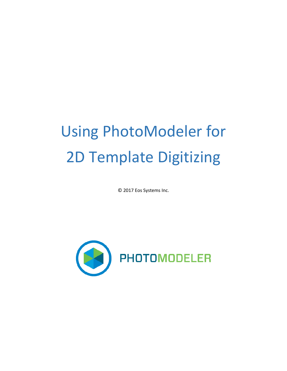# Using PhotoModeler for 2D Template Digitizing

© 2017 Eos Systems Inc.

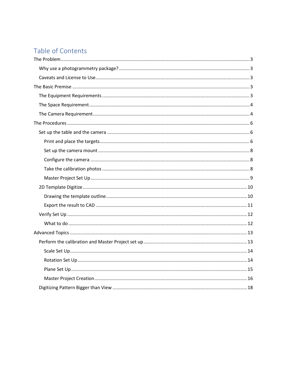# Table of Contents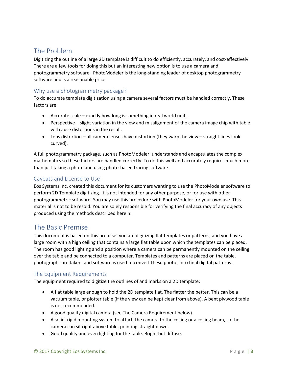# <span id="page-2-0"></span>The Problem

Digitizing the outline of a large 2D template is difficult to do efficiently, accurately, and cost-effectively. There are a few tools for doing this but an interesting new option is to use a camera and photogrammetry software. PhotoModeler is the long-standing leader of desktop photogrammetry software and is a reasonable price.

# <span id="page-2-1"></span>Why use a photogrammetry package?

To do accurate template digitization using a camera several factors must be handled correctly. These factors are:

- Accurate scale exactly how long is something in real world units.
- Perspective slight variation in the view and misalignment of the camera image chip with table will cause distortions in the result.
- Lens distortion all camera lenses have distortion (they warp the view straight lines look curved).

A full photogrammetry package, such as PhotoModeler, understands and encapsulates the complex mathematics so these factors are handled correctly. To do this well and accurately requires much more than just taking a photo and using photo-based tracing software.

# <span id="page-2-2"></span>Caveats and License to Use

Eos Systems Inc. created this document for its customers wanting to use the PhotoModeler software to perform 2D Template digitizing. It is not intended for any other purpose, or for use with other photogrammetric software. You may use this procedure with PhotoModeler for your own use. This material is not to be resold. You are solely responsible for verifying the final accuracy of any objects produced using the methods described herein.

# <span id="page-2-3"></span>The Basic Premise

This document is based on this premise: you are digitizing flat templates or patterns, and you have a large room with a high ceiling that contains a large flat table upon which the templates can be placed. The room has good lighting and a position where a camera can be permanently mounted on the ceiling over the table and be connected to a computer. Templates and patterns are placed on the table, photographs are taken, and software is used to convert these photos into final digital patterns.

## <span id="page-2-4"></span>The Equipment Requirements

The equipment required to digitize the outlines of and marks on a 2D template:

- A flat table large enough to hold the 2D template flat. The flatter the better. This can be a vacuum table, or plotter table (if the view can be kept clear from above). A bent plywood table is not recommended.
- A good quality digital camera (see The Camera Requirement below).
- A solid, rigid mounting system to attach the camera to the ceiling or a ceiling beam, so the camera can sit right above table, pointing straight down.
- Good quality and even lighting for the table. Bright but diffuse.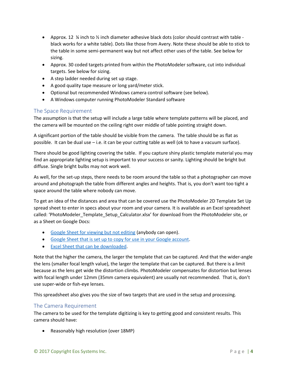- Approx. 12  $\frac{1}{4}$  inch to  $\frac{1}{2}$  inch diameter adhesive black dots (color should contrast with table black works for a white table). Dots like those from Avery. Note these should be able to stick to the table in some semi-permanent way but not affect other uses of the table. See below for sizing.
- Approx. 30 coded targets printed from within the PhotoModeler software, cut into individual targets. See below for sizing.
- A step ladder needed during set up stage.
- A good quality tape measure or long yard/meter stick.
- Optional but recommended Windows camera control software (see below).
- A Windows computer running PhotoModeler Standard software

## <span id="page-3-0"></span>The Space Requirement

The assumption is that the setup will include a large table where template patterns will be placed, and the camera will be mounted on the ceiling right over middle of table pointing straight down.

A significant portion of the table should be visible from the camera. The table should be as flat as possible. It can be dual use – i.e. it can be your cutting table as well (ok to have a vacuum surface).

There should be good lighting covering the table. If you capture shiny plastic template material you may find an appropriate lighting setup is important to your success or sanity. Lighting should be bright but diffuse. Single bright bulbs may not work well.

As well, for the set-up steps, there needs to be room around the table so that a photographer can move around and photograph the table from different angles and heights. That is, you don't want too tight a space around the table where nobody can move.

To get an idea of the distances and area that can be covered use the PhotoModeler 2D Template Set Up spread sheet to enter in specs about your room and your camera. It is available as an Excel spreadsheet called: 'PhotoModeler\_Template\_Setup\_Calculator.xlsx' for download from the PhotoModeler site, or as a Sheet on Google Docs:

- [Google Sheet for viewing but not editing](https://docs.google.com/spreadsheets/d/1BXHd0jLQX2R0ykPVZPq1t1Y--Np8LMHVIEK4KVfq1WM/edit?usp=sharing) (anybody can open).
- [Google Sheet that is set up to copy for use in your Google account.](https://docs.google.com/spreadsheets/d/1BXHd0jLQX2R0ykPVZPq1t1Y--Np8LMHVIEK4KVfq1WM/copy)
- [Excel Sheet that can be downloaded.](http://www.photomodeler.com/applications/template-digitize/PhotoModeler_Template_Setup_Calculator.xlsx)

Note that the higher the camera, the larger the template that can be captured. And that the wider-angle the lens (smaller focal length value), the larger the template that can be captured. But there is a limit because as the lens get wide the distortion climbs. PhotoModeler compensates for distortion but lenses with focal length under 12mm (35mm camera equivalent) are usually not recommended. That is, don't use super-wide or fish-eye lenses.

This spreadsheet also gives you the size of two targets that are used in the setup and processing.

## <span id="page-3-1"></span>The Camera Requirement

The camera to be used for the template digitizing is key to getting good and consistent results. This camera should have:

• Reasonably high resolution (over 18MP)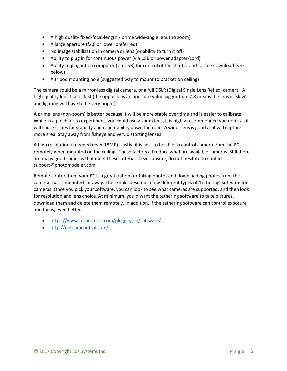- A high quality fixed-focal-length / prime wide-angle lens (no zoom)
- A large aperture (f2.8 or lower preferred)
- No image stabilization in camera or lens (or ability to turn it off)
- Ability to plug in for continuous power (via USB or power adapter/cord)
- Ability to plug into a computer (via USB) for control of the shutter and for file download (see below)
- A tripod mounting hole (suggested way to mount to bracket on ceiling)

The camera could be a mirror-less digital camera, or a full DSLR (Digital Single Lens Reflex) camera. A high-quality lens that is fast (the opposite is an aperture value bigger than 2.8 means the lens is 'slow' and lighting will have to be very bright).

A prime lens (non-zoom) is better because it will be more stable over time and is easier to calibrate. While in a pinch, or to experiment, you could use a zoom lens, it is highly recommended you don't as it will cause issues for stability and repeatability down the road. A wider lens is good as it will capture more area. Stay away from fisheye and very distorting lenses.

A high resolution is needed (over 18MP). Lastly, it is best to be able to control camera from the PC remotely when mounted on the ceiling. These factors all reduce what are available cameras. Still there are many good cameras that meet these criteria. If ever unsure, do not hesitate to contact support@photomodeler.com.

Remote control from your PC is a great option for taking photos and downloading photos from the camera that is mounted far away. These links describe a few different types of 'tethering' software for cameras. Once you pick your software, you can look to see what cameras are supported, and then look for resolution and lens choice. At minimum, you'd want the tethering software to take pictures, download them and delete them remotely. In addition, if the tethering software can control exposure and focus, even better.

- <https://www.tethertools.com/plugging-in/software/>
- <http://digicamcontrol.com/>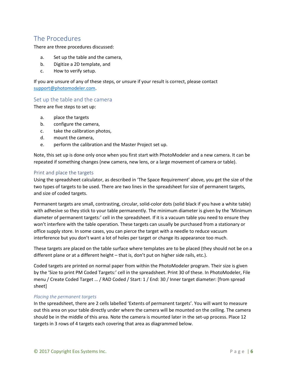# <span id="page-5-0"></span>The Procedures

There are three procedures discussed:

- a. Set up the table and the camera,
- b. Digitize a 2D template, and
- c. How to verify setup.

If you are unsure of any of these steps, or unsure if your result is correct, please contact [support@photomodeler.com.](mailto:support@photomodeler.com)

#### <span id="page-5-1"></span>Set up the table and the camera

There are five steps to set up:

- a. place the targets
- b. configure the camera,
- c. take the calibration photos,
- d. mount the camera,
- e. perform the calibration and the Master Project set up.

Note, this set up is done only once when you first start with PhotoModeler and a new camera. It can be repeated if something changes (new camera, new lens, or a large movement of camera or table).

#### <span id="page-5-2"></span>Print and place the targets

Using the spreadsheet calculator, as described in 'The Space Requirement' above, you get the size of the two types of targets to be used. There are two lines in the spreadsheet for size of permanent targets, and size of coded targets.

Permanent targets are small, contrasting, circular, solid-color dots (solid black if you have a white table) with adhesive so they stick to your table permanently. The minimum diameter is given by the 'Minimum diameter of permanent targets:' cell in the spreadsheet. If it is a vacuum table you need to ensure they won't interfere with the table operation. These targets can usually be purchased from a stationary or office supply store. In some cases, you can pierce the target with a needle to reduce vacuum interference but you don't want a lot of holes per target or change its appearance too much.

These targets are placed on the table surface where templates are to be placed (they should not be on a different plane or at a different height – that is, don't put on higher side rails, etc.).

Coded targets are printed on normal paper from within the PhotoModeler program. Their size is given by the 'Size to print PM Coded Targets:' cell in the spreadsheet. Print 30 of these. In PhotoModeler, File menu / Create Coded Target … / RAD Coded / Start: 1 / End: 30 / Inner target diameter: [from spread sheet]

#### *Placing the permanent targets*

In the spreadsheet, there are 2 cells labelled 'Extents of permanent targets'. You will want to measure out this area on your table directly under where the camera will be mounted on the ceiling. The camera should be in the middle of this area. Note the camera is mounted later in the set-up process. Place 12 targets in 3 rows of 4 targets each covering that area as diagrammed below.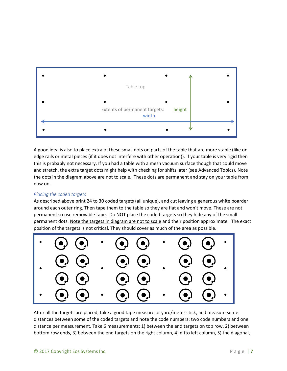

A good idea is also to place extra of these small dots on parts of the table that are more stable (like on edge rails or metal pieces (if it does not interfere with other operation)). If your table is very rigid then this is probably not necessary. If you had a table with a mesh vacuum surface though that could move and stretch, the extra target dots might help with checking for shifts later (see Advanced Topics). Note the dots in the diagram above are not to scale. These dots are permanent and stay on your table from now on.

#### *Placing the coded targets*

As described above print 24 to 30 coded targets (all unique), and cut leaving a generous white boarder around each outer ring. Then tape them to the table so they are flat and won't move. These are not permanent so use removable tape. Do NOT place the coded targets so they hide any of the small permanent dots. Note the targets in diagram are not to scale and their position approximate. The exact position of the targets is not critical. They should cover as much of the area as possible.



After all the targets are placed, take a good tape measure or yard/meter stick, and measure some distances between some of the coded targets and note the code numbers: two code numbers and one distance per measurement. Take 6 measurements: 1) between the end targets on top row, 2) between bottom row ends, 3) between the end targets on the right column, 4) ditto left column, 5) the diagonal,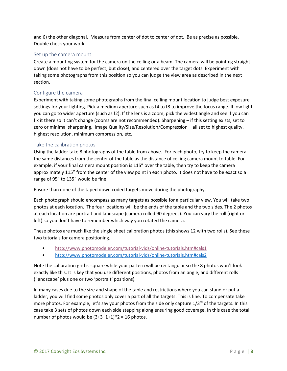and 6) the other diagonal. Measure from center of dot to center of dot. Be as precise as possible. Double check your work.

#### <span id="page-7-0"></span>Set up the camera mount

Create a mounting system for the camera on the ceiling or a beam. The camera will be pointing straight down (does not have to be perfect, but close), and centered over the target dots. Experiment with taking some photographs from this position so you can judge the view area as described in the next section.

#### <span id="page-7-1"></span>Configure the camera

Experiment with taking some photographs from the final ceiling mount location to judge best exposure settings for your lighting. Pick a medium aperture such as f4 to f8 to improve the focus range. If low light you can go to wider aperture (such as f2). If the lens is a zoom, pick the widest angle and see if you can fix it there so it can't change (zooms are not recommended). Sharpening – if this setting exists, set to zero or minimal sharpening. Image Quality/Size/Resolution/Compression – all set to highest quality, highest resolution, minimum compression, etc.

#### <span id="page-7-2"></span>Take the calibration photos

Using the ladder take 8 photographs of the table from above. For each photo, try to keep the camera the same distances from the center of the table as the distance of ceiling camera mount to table. For example, if your final camera mount position is 115" over the table, then try to keep the camera approximately 115" from the center of the view point in each photo. It does not have to be exact so a range of 95" to 135" would be fine.

Ensure than none of the taped down coded targets move during the photography.

Each photograph should encompass as many targets as possible for a particular view. You will take two photos at each location. The four locations will be the ends of the table and the two sides. The 2 photos at each location are portrait and landscape (camera rolled 90 degrees). You can vary the roll (right or left) so you don't have to remember which way you rotated the camera.

These photos are much like the single sheet calibration photos (this shows 12 with two rolls). See these two tutorials for camera positioning.

- <http://www.photomodeler.com/tutorial-vids/online-tutorials.htm#cals1>
- <http://www.photomodeler.com/tutorial-vids/online-tutorials.htm#cals2>

Note the calibration grid is square while your pattern will be rectangular so the 8 photos won't look exactly like this. It is key that you use different positions, photos from an angle, and different rolls ('landscape' plus one or two 'portrait' positions).

In many cases due to the size and shape of the table and restrictions where you can stand or put a ladder, you will find some photos only cover a part of all the targets. This is fine. To compensate take more photos. For example, let's say your photos from the side only capture  $1/3^{rd}$  of the targets. In this case take 3 sets of photos down each side stepping along ensuring good coverage. In this case the total number of photos would be  $(3+3+1+1)*2 = 16$  photos.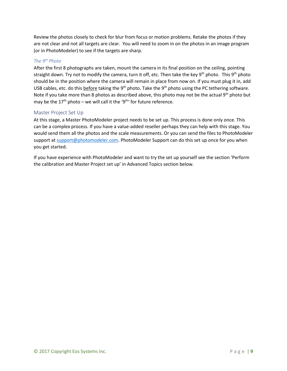Review the photos closely to check for blur from focus or motion problems. Retake the photos if they are not clear and not all targets are clear. You will need to zoom in on the photos in an image program (or in PhotoModeler) to see if the targets are sharp.

#### *The 9 th Photo*

After the first 8 photographs are taken, mount the camera in its final position on the ceiling, pointing straight down. Try not to modify the camera, turn it off, etc. Then take the key 9<sup>th</sup> photo. This 9<sup>th</sup> photo should be in the position where the camera will remain in place from now on. If you must plug it in, add USB cables, etc. do this **before** taking the 9<sup>th</sup> photo. Take the 9<sup>th</sup> photo using the PC tethering software. Note if you take more than 8 photos as described above, this photo may not be the actual 9<sup>th</sup> photo but may be the 17<sup>th</sup> photo – we will call it the '9<sup>th</sup>' for future reference.

#### <span id="page-8-0"></span>Master Project Set Up

At this stage, a Master PhotoModeler project needs to be set up. This process is done only once. This can be a complex process. If you have a value-added reseller perhaps they can help with this stage. You would send them all the photos and the scale measurements. Or you can send the files to PhotoModeler support at [support@photomodeler.com.](mailto:support@photomodeler.com) PhotoModeler Support can do this set up once for you when you get started.

If you have experience with PhotoModeler and want to try the set up yourself see the section 'Perform the calibration and Master Project set up' in Advanced Topics section below.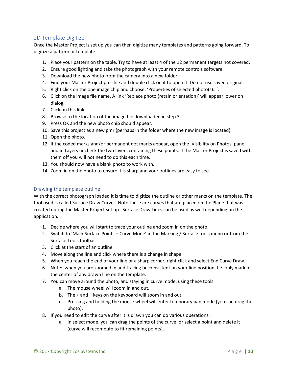# <span id="page-9-0"></span>2D Template Digitize

Once the Master Project is set up you can then digitize many templates and patterns going forward. To digitize a pattern or template:

- 1. Place your pattern on the table. Try to have at least 4 of the 12 permanent targets not covered.
- 2. Ensure good lighting and take the photograph with your remote controls software.
- 3. Download the new photo from the camera into a new folder.
- 4. Find your Master Project pmr file and double click on it to open it. Do not use saved original.
- 5. Right click on the one image chip and choose, 'Properties of selected photo(s)…'.
- 6. Click on the Image file name. A link 'Replace photo (retain orientation)' will appear lower on dialog.
- 7. Click on this link.
- 8. Browse to the location of the image file downloaded in step 3.
- 9. Press OK and the new photo chip should appear.
- 10. Save this project as a new pmr (perhaps in the folder where the new image is located).
- 11. Open the photo.
- 12. If the coded marks and/or permanent dot marks appear, open the 'Visibility on Photos' pane and in Layers uncheck the two layers containing these points. If the Master Project is saved with them off you will not need to do this each time.
- 13. You should now have a blank photo to work with.
- 14. Zoom in on the photo to ensure it is sharp and your outlines are easy to see.

#### <span id="page-9-1"></span>Drawing the template outline

With the correct photograph loaded it is time to digitize the outline or other marks on the template. The tool used is called Surface Draw Curves. Note these are curves that are placed on the Plane that was created during the Master Project set up. Surface Draw Lines can be used as well depending on the application.

- 1. Decide where you will start to trace your outline and zoom in on the photo.
- 2. Switch to 'Mark Surface Points Curve Mode' in the Marking / Surface tools menu or from the Surface Tools toolbar.
- 3. Click at the start of an outline.
- 4. Move along the line and click where there is a change in shape.
- 5. When you reach the end of your line or a sharp corner, right click and select End Curve Draw.
- 6. Note: when you are zoomed in and tracing be consistent on your line position. I.e. only mark in the center of any drawn line on the template.
- 7. You can move around the photo, and staying in curve mode, using these tools:
	- a. The mouse wheel will zoom in and out.
	- b. The + and keys on the keyboard will zoom in and out.
	- c. Pressing and holding the mouse wheel will enter temporary pan mode (you can drag the photo).
- 8. If you need to edit the curve after it is drawn you can do various operations:
	- a. In select mode, you can drag the points of the curve, or select a point and delete it (curve will recompute to fit remaining points).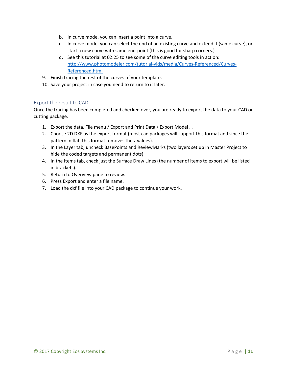- b. In curve mode, you can insert a point into a curve.
- c. In curve mode, you can select the end of an existing curve and extend it (same curve), or start a new curve with same end-point (this is good for sharp corners.)
- d. See this tutorial at 02:25 to see some of the curve editing tools in action: [http://www.photomodeler.com/tutorial-vids/media/Curves-Referenced/Curves-](http://www.photomodeler.com/tutorial-vids/media/Curves-Referenced/Curves-Referenced.html)[Referenced.html](http://www.photomodeler.com/tutorial-vids/media/Curves-Referenced/Curves-Referenced.html)
- 9. Finish tracing the rest of the curves of your template.
- 10. Save your project in case you need to return to it later.

#### <span id="page-10-0"></span>Export the result to CAD

Once the tracing has been completed and checked over, you are ready to export the data to your CAD or cutting package.

- 1. Export the data. File menu / Export and Print Data / Export Model …
- 2. Choose 2D DXF as the export format (most cad packages will support this format and since the pattern in flat, this format removes the z values).
- 3. In the Layer tab, uncheck BasePoints and ReviewMarks (two layers set up in Master Project to hide the coded targets and permanent dots).
- 4. In the Items tab, check just the Surface Draw Lines (the number of items to export will be listed in brackets).
- 5. Return to Overview pane to review.
- 6. Press Export and enter a file name.
- 7. Load the dxf file into your CAD package to continue your work.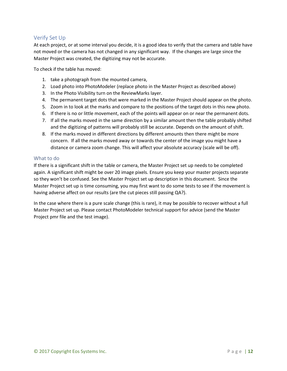# <span id="page-11-0"></span>Verify Set Up

At each project, or at some interval you decide, it is a good idea to verify that the camera and table have not moved or the camera has not changed in any significant way. If the changes are large since the Master Project was created, the digitizing may not be accurate.

To check if the table has moved:

- 1. take a photograph from the mounted camera,
- 2. Load photo into PhotoModeler (replace photo in the Master Project as described above)
- 3. In the Photo Visibility turn on the ReviewMarks layer.
- 4. The permanent target dots that were marked in the Master Project should appear on the photo.
- 5. Zoom in to look at the marks and compare to the positions of the target dots in this new photo.
- 6. If there is no or little movement, each of the points will appear on or near the permanent dots.
- 7. If all the marks moved in the same direction by a similar amount then the table probably shifted and the digitizing of patterns will probably still be accurate. Depends on the amount of shift.
- 8. If the marks moved in different directions by different amounts then there might be more concern. If all the marks moved away or towards the center of the image you might have a distance or camera zoom change. This will affect your absolute accuracy (scale will be off).

#### <span id="page-11-1"></span>What to do

If there is a significant shift in the table or camera, the Master Project set up needs to be completed again. A significant shift might be over 20 image pixels. Ensure you keep your master projects separate so they won't be confused. See the Master Project set up description in this document. Since the Master Project set up is time consuming, you may first want to do some tests to see if the movement is having adverse affect on our results (are the cut pieces still passing QA?).

In the case where there is a pure scale change (this is rare), it may be possible to recover without a full Master Project set up. Please contact PhotoModeler technical support for advice (send the Master Project pmr file and the test image).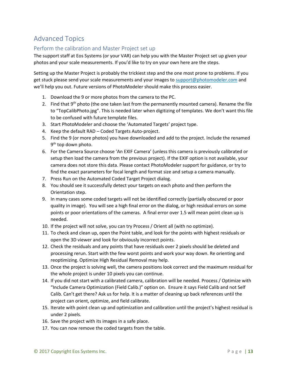# <span id="page-12-0"></span>Advanced Topics

# <span id="page-12-1"></span>Perform the calibration and Master Project set up

The support staff at Eos Systems (or your VAR) can help you with the Master Project set up given your photos and your scale measurements. If you'd like to try on your own here are the steps.

Setting up the Master Project is probably the trickiest step and the one most prone to problems. If you get stuck please send your scale measurements and your images to [support@photomodeler.com](mailto:support@photomodeler.com) and we'll help you out. Future versions of PhotoModeler should make this process easier.

- 1. Download the 9 or more photos from the camera to the PC.
- 2. Find that 9<sup>th</sup> photo (the one taken last from the permanently mounted camera). Rename the file to "TopCalibPhoto.jpg". This is needed later when digitizing of templates. We don't want this file to be confused with future template files.
- 3. Start PhotoModeler and choose the 'Automated Targets' project type.
- 4. Keep the default RAD Coded Targets Auto-project.
- 5. Find the 9 (or more photos) you have downloaded and add to the project. Include the renamed 9<sup>th</sup> top down photo.
- 6. For the Camera Source choose 'An EXIF Camera' (unless this camera is previously calibrated or setup then load the camera from the previous project). If the EXIF option is not available, your camera does not store this data. Please contact PhotoModeler support for guidance, or try to find the exact parameters for focal length and format size and setup a camera manually.
- 7. Press Run on the Automated Coded Target Project dialog.
- 8. You should see it successfully detect your targets on each photo and then perform the Orientation step.
- 9. In many cases some coded targets will not be identified correctly (partially obscured or poor quality in image). You will see a high final error on the dialog, or high residual errors on some points or poor orientations of the cameras. A final error over 1.5 will mean point clean up is needed.
- 10. If the project will not solve, you can try Process / Orient all (with no optimize).
- 11. To check and clean up, open the Point table, and look for the points with highest residuals or open the 3D viewer and look for obviously incorrect points.
- 12. Check the residuals and any points that have residuals over 2 pixels should be deleted and processing rerun. Start with the few worst points and work your way down. Re orienting and reoptimizing. Optimize High Residual Removal may help.
- 13. Once the project is solving well, the camera positions look correct and the maximum residual for the whole project is under 10 pixels you can continue.
- 14. If you did not start with a calibrated camera, calibration will be needed. Process / Optimize with "Include Camera Optimization (Field Calib.)" option on. Ensure it says Field Calib and not Self Calib. Can't get there? Ask us for help. It is a matter of cleaning up back references until the project can orient, optimize, and field calibrate.
- 15. Iterate with point clean up and optimization and calibration until the project's highest residual is under 2 pixels.
- 16. Save the project with its images in a safe place.
- 17. You can now remove the coded targets from the table.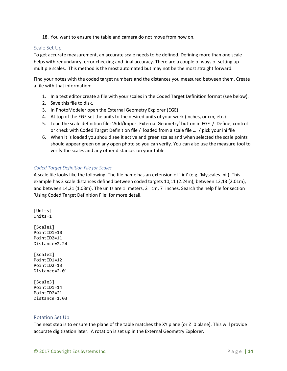18. You want to ensure the table and camera do not move from now on.

#### <span id="page-13-0"></span>Scale Set Up

To get accurate measurement, an accurate scale needs to be defined. Defining more than one scale helps with redundancy, error checking and final accuracy. There are a couple of ways of setting up multiple scales. This method is the most automated but may not be the most straight forward.

Find your notes with the coded target numbers and the distances you measured between them. Create a file with that information:

- 1. In a text editor create a file with your scales in the Coded Target Definition format (see below).
- 2. Save this file to disk.
- 3. In PhotoModeler open the External Geometry Explorer (EGE).
- 4. At top of the EGE set the units to the desired units of your work (inches, or cm, etc.)
- 5. Load the scale definition file: 'Add/Import External Geometry' button in EGE / Define, control or check with Coded Target Definition file / loaded from a scale file … / pick your ini file
- 6. When it is loaded you should see it active and green scales and when selected the scale points should appear green on any open photo so you can verify. You can also use the measure tool to verify the scales and any other distances on your table.

#### *Coded Target Definition File for Scales*

A scale file looks like the following. The file name has an extension of '.ini' (e.g. 'Myscales.ini'). This example has 3 scale distances defined between coded targets 10,11 (2.24m), between 12,13 (2.01m), and between 14,21 (1.03m). The units are 1=meters, 2= cm, 7=inches. Search the help file for section 'Using Coded Target Definition File' for more detail.

[Units] Units=1 [Scale1] PointID1=10 PointID2=11 Distance=2.24 [Scale2] PointID1=12 PointID2=13 Distance=2.01 [Scale3]

PointID1=14 PointID2=21 Distance=1.03

#### <span id="page-13-1"></span>Rotation Set Up

The next step is to ensure the plane of the table matches the XY plane (or Z=0 plane). This will provide accurate digitization later. A rotation is set up in the External Geometry Explorer.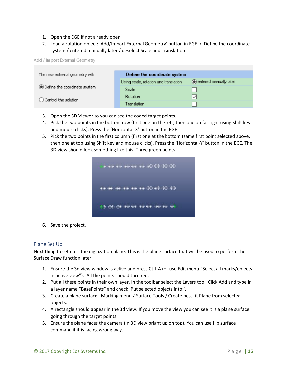- 1. Open the EGE if not already open.
- 2. Load a rotation object: 'Add/Import External Geometry' button in EGE / Define the coordinate system / entered manually later / deselect Scale and Translation.

Add / Import External Geometry

| The new external geometry will: | Define the coordinate system          |                          |  |
|---------------------------------|---------------------------------------|--------------------------|--|
|                                 | Using scale, rotation and translation | ◉ entered manually later |  |
| ◉ Define the coordinate system  | Scale                                 |                          |  |
| ◯ Control the solution          | <b>Rotation</b>                       | ⋉                        |  |
|                                 | Translation                           |                          |  |

- 3. Open the 3D Viewer so you can see the coded target points.
- 4. Pick the two points in the bottom row (first one on the left, then one on far right using Shift key and mouse clicks). Press the 'Horizontal-X' button in the EGE.
- 5. Pick the two points in the first column (first one at the bottom (same first point selected above, then one at top using Shift key and mouse clicks). Press the 'Horizontal-Y' button in the EGE. The 3D view should look something like this. Three green points.

| the new region was regioned and with region with        |  |
|---------------------------------------------------------|--|
| ਦੇਂਦੇ ਦੇਖੋ ਦੇਖੋ ਬੱਚੇ ਵੱਡੇ ਦੇਖੋ ਦੇਖੋ ਦੇਖੋ ਦੇਖੋ ਦੇਖੋ ਦੇਖੋ |  |
| an an de te en en de                                    |  |

6. Save the project.

#### <span id="page-14-0"></span>Plane Set Up

Next thing to set up is the digitization plane. This is the plane surface that will be used to perform the Surface Draw function later.

- 1. Ensure the 3d view window is active and press Ctrl-A (or use Edit menu "Select all marks/objects in active view"). All the points should turn red.
- 2. Put all these points in their own layer. In the toolbar select the Layers tool. Click Add and type in a layer name "BasePoints" and check 'Put selected objects into:'.
- 3. Create a plane surface. Marking menu / Surface Tools / Create best fit Plane from selected objects.
- 4. A rectangle should appear in the 3d view. If you move the view you can see it is a plane surface going through the target points.
- 5. Ensure the plane faces the camera (in 3D view bright up on top). You can use flip surface command if it is facing wrong way.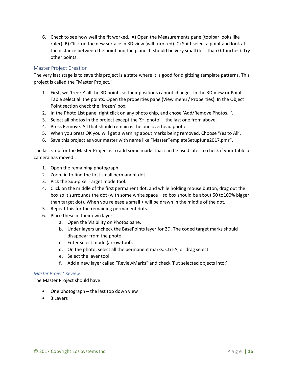6. Check to see how well the fit worked. A) Open the Measurements pane (toolbar looks like ruler). B) Click on the new surface in 3D view (will turn red). C) Shift select a point and look at the distance between the point and the plane. It should be very small (less than 0.1 inches). Try other points.

#### <span id="page-15-0"></span>Master Project Creation

The very last stage is to save this project is a state where it is good for digitizing template patterns. This project is called the "Master Project."

- 1. First, we 'freeze' all the 3D points so their positions cannot change. In the 3D View or Point Table select all the points. Open the properties pane (View menu / Properties). In the Object Point section check the 'frozen' box.
- 2. In the Photo List pane, right click on any photo chip, and chose 'Add/Remove Photos…'.
- 3. Select all photos in the project except the '9<sup>th</sup> photo'  $-$  the last one from above.
- 4. Press Remove. All that should remain is the one overhead photo.
- 5. When you press OK you will get a warning about marks being removed. Choose 'Yes to All'.
- 6. Save this project as your master with name like "MasterTemplateSetupJune2017.pmr".

The last step for the Master Project is to add some marks that can be used later to check if your table or camera has moved.

- 1. Open the remaining photograph.
- 2. Zoom in to find the first small permanent dot.
- 3. Pick the Sub-pixel Target mode tool.
- 4. Click on the middle of the first permanent dot, and while holding mouse button, drag out the box so it surrounds the dot (with some white space – so box should be about 50 to100% bigger than target dot). When you release a small + will be drawn in the middle of the dot.
- 5. Repeat this for the remaining permanent dots.
- 6. Place these in their own layer.
	- a. Open the Visibility on Photos pane.
	- b. Under layers uncheck the BasePoints layer for 2D. The coded target marks should disappear from the photo.
	- c. Enter select mode (arrow tool).
	- d. On the photo, select all the permanent marks. Ctrl-A, or drag select.
	- e. Select the layer tool.
	- f. Add a new layer called "ReviewMarks" and check 'Put selected objects into:'

#### *Master Project Review*

The Master Project should have:

- One photograph the last top down view
- 3 Layers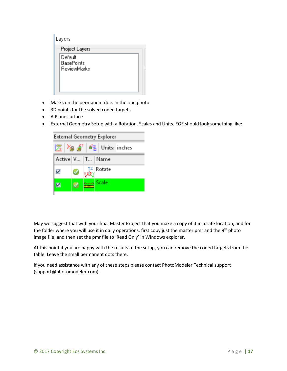- Marks on the permanent dots in the one photo
- 3D points for the solved coded targets
- A Plane surface
- External Geometry Setup with a Rotation, Scales and Units. EGE should look something like:

| 屋 Yg 点 邮 Units: inches |
|------------------------|
| Active V   T   Name    |
| $\mathbb{Z}$ Rotate    |
| x---x Scale            |

May we suggest that with your final Master Project that you make a copy of it in a safe location, and for the folder where you will use it in daily operations, first copy just the master pmr and the 9<sup>th</sup> photo image file, and then set the pmr file to 'Read Only' in Windows explorer.

At this point if you are happy with the results of the setup, you can remove the coded targets from the table. Leave the small permanent dots there.

If you need assistance with any of these steps please contact PhotoModeler Technical support (support@photomodeler.com).